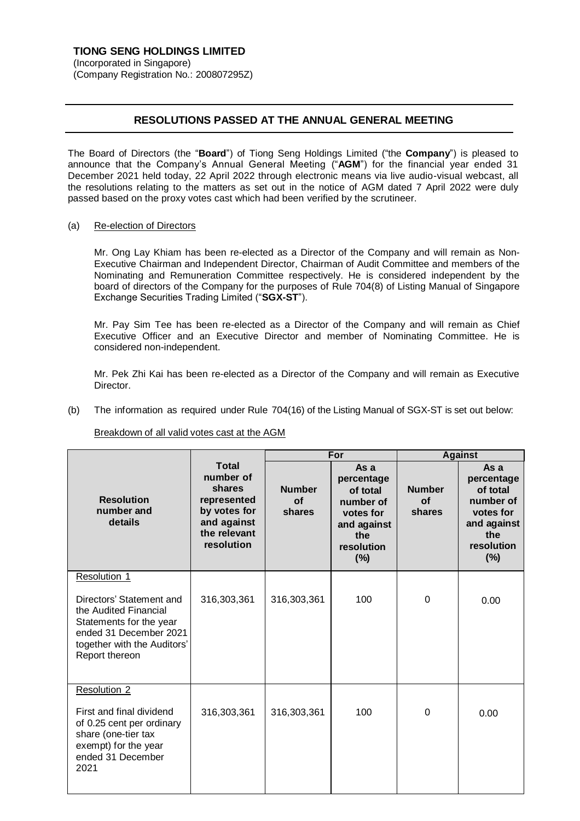## **RESOLUTIONS PASSED AT THE ANNUAL GENERAL MEETING**

The Board of Directors (the "**Board**") of Tiong Seng Holdings Limited ("the **Company**") is pleased to announce that the Company's Annual General Meeting ("**AGM**") for the financial year ended 31 December 2021 held today, 22 April 2022 through electronic means via live audio-visual webcast, all the resolutions relating to the matters as set out in the notice of AGM dated 7 April 2022 were duly passed based on the proxy votes cast which had been verified by the scrutineer.

(a) Re-election of Directors

Mr. Ong Lay Khiam has been re-elected as a Director of the Company and will remain as Non-Executive Chairman and Independent Director, Chairman of Audit Committee and members of the Nominating and Remuneration Committee respectively. He is considered independent by the board of directors of the Company for the purposes of Rule 704(8) of Listing Manual of Singapore Exchange Securities Trading Limited ("**SGX-ST**").

Mr. Pay Sim Tee has been re-elected as a Director of the Company and will remain as Chief Executive Officer and an Executive Director and member of Nominating Committee. He is considered non-independent.

Mr. Pek Zhi Kai has been re-elected as a Director of the Company and will remain as Executive Director.

(b) The information as required under Rule 704(16) of the Listing Manual of SGX-ST is set out below:

Breakdown of all valid votes cast at the AGM

|                                                                                                                                                                         |                                                                                                                 | For                           |                                                                                                     | <b>Against</b>                |                                                                                                        |
|-------------------------------------------------------------------------------------------------------------------------------------------------------------------------|-----------------------------------------------------------------------------------------------------------------|-------------------------------|-----------------------------------------------------------------------------------------------------|-------------------------------|--------------------------------------------------------------------------------------------------------|
| <b>Resolution</b><br>number and<br>details                                                                                                                              | <b>Total</b><br>number of<br>shares<br>represented<br>by votes for<br>and against<br>the relevant<br>resolution | <b>Number</b><br>Ωf<br>shares | As a<br>percentage<br>of total<br>number of<br>votes for<br>and against<br>the<br>resolution<br>(%) | <b>Number</b><br>Ωf<br>shares | As a<br>percentage<br>of total<br>number of<br>votes for<br>and against<br>the<br>resolution<br>$(\%)$ |
| Resolution 1<br>Directors' Statement and<br>the Audited Financial<br>Statements for the year<br>ended 31 December 2021<br>together with the Auditors'<br>Report thereon | 316,303,361                                                                                                     | 316,303,361                   | 100                                                                                                 | 0                             | 0.00                                                                                                   |
| Resolution 2<br>First and final dividend<br>of 0.25 cent per ordinary<br>share (one-tier tax<br>exempt) for the year<br>ended 31 December<br>2021                       | 316,303,361                                                                                                     | 316,303,361                   | 100                                                                                                 | 0                             | 0.00                                                                                                   |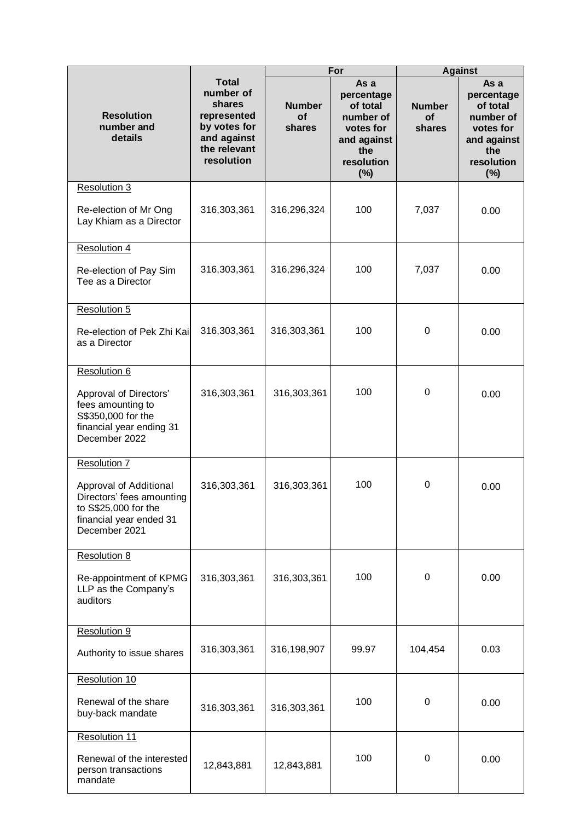|                                                                                                                         |                                                                                                                 | For                                  |                                                                                                     | <b>Against</b>                |                                                                                                     |
|-------------------------------------------------------------------------------------------------------------------------|-----------------------------------------------------------------------------------------------------------------|--------------------------------------|-----------------------------------------------------------------------------------------------------|-------------------------------|-----------------------------------------------------------------------------------------------------|
| <b>Resolution</b><br>number and<br>details                                                                              | <b>Total</b><br>number of<br>shares<br>represented<br>by votes for<br>and against<br>the relevant<br>resolution | <b>Number</b><br><b>of</b><br>shares | As a<br>percentage<br>of total<br>number of<br>votes for<br>and against<br>the<br>resolution<br>(%) | <b>Number</b><br>of<br>shares | As a<br>percentage<br>of total<br>number of<br>votes for<br>and against<br>the<br>resolution<br>(%) |
| Resolution 3                                                                                                            |                                                                                                                 |                                      |                                                                                                     |                               |                                                                                                     |
| Re-election of Mr Ong<br>Lay Khiam as a Director                                                                        | 316,303,361                                                                                                     | 316,296,324                          | 100                                                                                                 | 7,037                         | 0.00                                                                                                |
| <b>Resolution 4</b>                                                                                                     |                                                                                                                 |                                      |                                                                                                     |                               |                                                                                                     |
| Re-election of Pay Sim<br>Tee as a Director                                                                             | 316,303,361                                                                                                     | 316,296,324                          | 100                                                                                                 | 7,037                         | 0.00                                                                                                |
| Resolution 5                                                                                                            |                                                                                                                 |                                      |                                                                                                     |                               |                                                                                                     |
| Re-election of Pek Zhi Kai<br>as a Director                                                                             | 316,303,361                                                                                                     | 316,303,361                          | 100                                                                                                 | 0                             | 0.00                                                                                                |
| Resolution 6                                                                                                            |                                                                                                                 |                                      |                                                                                                     |                               |                                                                                                     |
| Approval of Directors'<br>fees amounting to<br>S\$350,000 for the<br>financial year ending 31<br>December 2022          | 316,303,361                                                                                                     | 316,303,361                          | 100                                                                                                 | 0                             | 0.00                                                                                                |
| Resolution 7                                                                                                            |                                                                                                                 |                                      |                                                                                                     |                               |                                                                                                     |
| Approval of Additional<br>Directors' fees amounting<br>to S\$25,000 for the<br>financial year ended 31<br>December 2021 | 316,303,361                                                                                                     | 316,303,361                          | 100                                                                                                 | 0                             | 0.00                                                                                                |
| <b>Resolution 8</b>                                                                                                     |                                                                                                                 |                                      |                                                                                                     |                               |                                                                                                     |
| Re-appointment of KPMG<br>LLP as the Company's<br>auditors                                                              | 316,303,361                                                                                                     | 316,303,361                          | 100                                                                                                 | 0                             | 0.00                                                                                                |
| Resolution 9                                                                                                            |                                                                                                                 |                                      |                                                                                                     |                               |                                                                                                     |
| Authority to issue shares                                                                                               | 316,303,361                                                                                                     | 316,198,907                          | 99.97                                                                                               | 104,454                       | 0.03                                                                                                |
| Resolution 10                                                                                                           |                                                                                                                 |                                      |                                                                                                     |                               |                                                                                                     |
| Renewal of the share<br>buy-back mandate                                                                                | 316,303,361                                                                                                     | 316,303,361                          | 100                                                                                                 | 0                             | 0.00                                                                                                |
| Resolution 11                                                                                                           |                                                                                                                 |                                      |                                                                                                     |                               |                                                                                                     |
| Renewal of the interested<br>person transactions<br>mandate                                                             | 12,843,881                                                                                                      | 12,843,881                           | 100                                                                                                 | 0                             | 0.00                                                                                                |